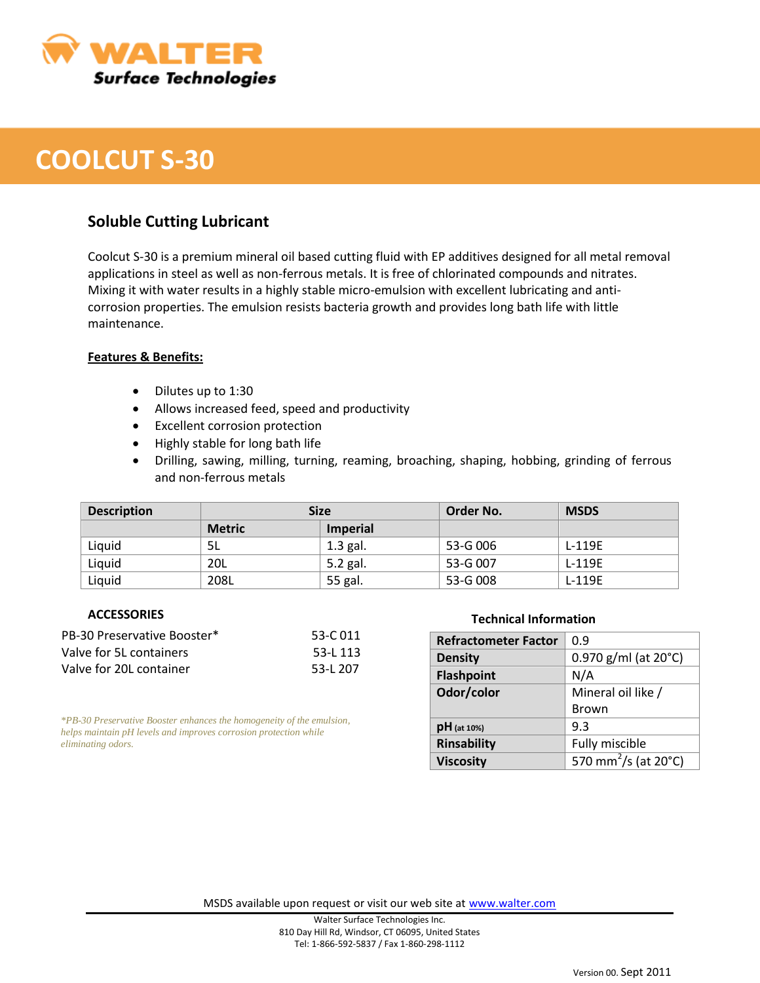

## **COOLCUT S-30**

### **Soluble Cutting Lubricant**

Coolcut S-30 is a premium mineral oil based cutting fluid with EP additives designed for all metal removal applications in steel as well as non-ferrous metals. It is free of chlorinated compounds and nitrates. Mixing it with water results in a highly stable micro-emulsion with excellent lubricating and anticorrosion properties. The emulsion resists bacteria growth and provides long bath life with little maintenance.

#### **Features & Benefits:**

- Dilutes up to 1:30
- Allows increased feed, speed and productivity
- Excellent corrosion protection
- Highly stable for long bath life
- Drilling, sawing, milling, turning, reaming, broaching, shaping, hobbing, grinding of ferrous and non-ferrous metals

| <b>Description</b> | <b>Size</b>   |                 | Order No. | <b>MSDS</b> |
|--------------------|---------------|-----------------|-----------|-------------|
|                    | <b>Metric</b> | <b>Imperial</b> |           |             |
| Liquid             | 5L            | $1.3$ gal.      | 53-G 006  | L-119E      |
| Liquid             | 20L           | 5.2 gal.        | 53-G 007  | L-119E      |
| Liquid             | 208L          | 55 gal.         | 53-G 008  | L-119E      |

#### **ACCESSORIES**

| PB-30 Preservative Booster* | 53-C 011 |
|-----------------------------|----------|
| Valve for 5L containers     | 53-L 113 |
| Valve for 20L container     | 53-L 207 |

*\*PB-30 Preservative Booster enhances the homogeneity of the emulsion, helps maintain pH levels and improves corrosion protection while eliminating odors.*

#### **Technical Information**

| <b>Refractometer Factor</b> | 0.9                                          |  |
|-----------------------------|----------------------------------------------|--|
| <b>Density</b>              | 0.970 g/ml (at 20°C)                         |  |
| <b>Flashpoint</b>           | N/A                                          |  |
| Odor/color                  | Mineral oil like /                           |  |
|                             | Brown                                        |  |
| $pH$ (at 10%)               | 9.3                                          |  |
| <b>Rinsability</b>          | Fully miscible                               |  |
| <b>Viscosity</b>            | $\frac{1}{570}$ mm <sup>2</sup> /s (at 20°C) |  |

MSDS available upon request or visit our web site at [www.walter.com](http://www.walter.com/)